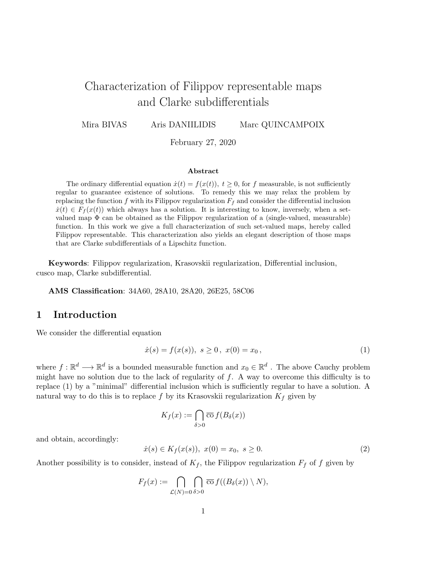# Characterization of Filippov representable maps and Clarke subdifferentials

Mira BIVAS Aris DANIILIDIS Marc QUINCAMPOIX

February 27, 2020

#### Abstract

The ordinary differential equation  $\dot{x}(t) = f(x(t))$ ,  $t \geq 0$ , for f measurable, is not sufficiently regular to guarantee existence of solutions. To remedy this we may relax the problem by replacing the function f with its Filippov regularization  $F_f$  and consider the differential inclusion  $\dot{x}(t) \in F_f(x(t))$  which always has a solution. It is interesting to know, inversely, when a setvalued map  $\Phi$  can be obtained as the Filippov regularization of a (single-valued, measurable) function. In this work we give a full characterization of such set-valued maps, hereby called Filippov representable. This characterization also yields an elegant description of those maps that are Clarke subdifferentials of a Lipschitz function.

Keywords: Filippov regularization, Krasovskii regularization, Differential inclusion, cusco map, Clarke subdifferential.

AMS Classification: 34A60, 28A10, 28A20, 26E25, 58C06

## 1 Introduction

We consider the differential equation

$$
\dot{x}(s) = f(x(s)), \ s \ge 0, \ x(0) = x_0,
$$
\n<sup>(1)</sup>

where  $f: \mathbb{R}^d \longrightarrow \mathbb{R}^d$  is a bounded measurable function and  $x_0 \in \mathbb{R}^d$ . The above Cauchy problem might have no solution due to the lack of regularity of  $f$ . A way to overcome this difficulty is to replace (1) by a "minimal" differential inclusion which is sufficiently regular to have a solution. A natural way to do this is to replace f by its Krasovskii regularization  $K_f$  given by

$$
K_f(x) := \bigcap_{\delta > 0} \overline{\operatorname{co}}\, f(B_\delta(x))
$$

and obtain, accordingly:

$$
\dot{x}(s) \in K_f(x(s)), \ x(0) = x_0, \ s \ge 0. \tag{2}
$$

Another possibility is to consider, instead of  $K_f$ , the Filippov regularization  $F_f$  of f given by

$$
F_f(x) := \bigcap_{\mathcal{L}(N)=0} \bigcap_{\delta>0} \overline{\mathrm{co}} \, f((B_{\delta}(x)) \setminus N),
$$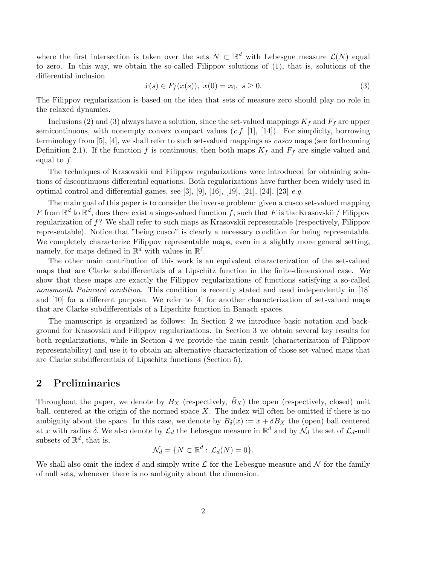where the first intersection is taken over the sets  $N \subset \mathbb{R}^d$  with Lebesgue measure  $\mathcal{L}(N)$  equal to zero. In this way, we obtain the so-called Filippov solutions of (1), that is, solutions of the differential inclusion

$$
\dot{x}(s) \in F_f(x(s)), \ x(0) = x_0, \ s \ge 0.
$$
 (3)

The Filippov regularization is based on the idea that sets of measure zero should play no role in the relaxed dynamics.

Inclusions (2) and (3) always have a solution, since the set-valued mappings  $K_f$  and  $F_f$  are upper semicontinuous, with nonempty convex compact values  $(c.f. [1], [14])$ . For simplicity, borrowing terminology from [5], [4], we shall refer to such set-valued mappings as *cusco* maps (see forthcoming Definition 2.1). If the function f is continuous, then both maps  $K_f$  and  $F_f$  are single-valued and equal to  $f$ .

The techniques of Krasovskii and Filippov regularizations were introduced for obtaining solutions of discontinuous differential equations. Both regularizations have further been widely used in optimal control and differential games, see [3], [9], [16], [19], [21], [24], [23] *e.g.* 

The main goal of this paper is to consider the inverse problem: given a cusco set-valued mapping F from  $\mathbb{R}^d$  to  $\mathbb{R}^d$ , does there exist a singe-valued function f, such that F is the Krasovskii / Filippov regularization of f? We shall refer to such maps as Krasovskii representable (respectively, Filippov representable). Notice that "being cusco" is clearly a necessary condition for being representable. We completely characterize Filippov representable maps, even in a slightly more general setting, namely, for maps defined in  $\mathbb{R}^d$  with values in  $\mathbb{R}^l$ .

The other main contribution of this work is an equivalent characterization of the set-valued maps that are Clarke subdifferentials of a Lipschitz function in the finite-dimensional case. We show that these maps are exactly the Filippov regularizations of functions satisfying a so-called nonsmooth Poincaré condition. This condition is recently stated and used independently in  $[18]$ and [10] for a different purpose. We refer to [4] for another characterization of set-valued maps that are Clarke subdifferentials of a Lipschitz function in Banach spaces.

The manuscript is organized as follows: In Section 2 we introduce basic notation and background for Krasovskii and Filippov regularizations. In Section 3 we obtain several key results for both regularizations, while in Section 4 we provide the main result (characterization of Filippov representability) and use it to obtain an alternative characterization of those set-valued maps that are Clarke subdifferentials of Lipschitz functions (Section 5).

## 2 Preliminaries

Throughout the paper, we denote by  $B_X$  (respectively,  $\overline{B}_X$ ) the open (respectively, closed) unit ball, centered at the origin of the normed space  $X$ . The index will often be omitted if there is no ambiguity about the space. In this case, we denote by  $B_\delta(x) := x + \delta B_X$  the (open) ball centered at x with radius  $\delta$ . We also denote by  $\mathcal{L}_d$  the Lebesgue measure in  $\mathbb{R}^d$  and by  $\mathcal{N}_d$  the set of  $\mathcal{L}_d$ -null subsets of  $\mathbb{R}^d$ , that is,

$$
\mathcal{N}_d = \{ N \subset \mathbb{R}^d : \mathcal{L}_d(N) = 0 \}.
$$

We shall also omit the index d and simply write  $\mathcal L$  for the Lebesgue measure and  $\mathcal N$  for the family of null sets, whenever there is no ambiguity about the dimension.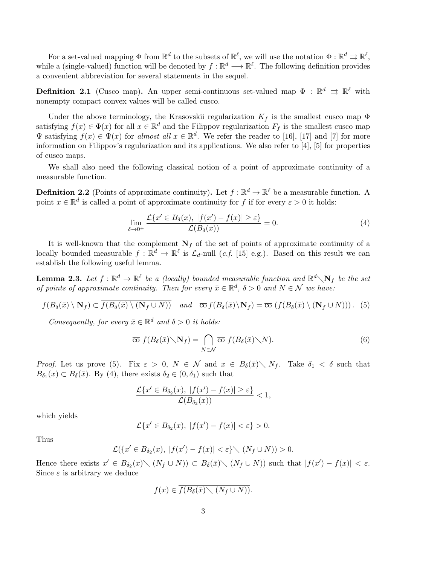For a set-valued mapping  $\Phi$  from  $\mathbb{R}^d$  to the subsets of  $\mathbb{R}^\ell$ , we will use the notation  $\Phi : \mathbb{R}^d \rightrightarrows \mathbb{R}^\ell$ , while a (single-valued) function will be denoted by  $f : \mathbb{R}^d \longrightarrow \mathbb{R}^\ell$ . The following definition provides a convenient abbreviation for several statements in the sequel.

**Definition 2.1** (Cusco map). An upper semi-continuous set-valued map  $\Phi : \mathbb{R}^d \implies \mathbb{R}^\ell$  with nonempty compact convex values will be called cusco.

Under the above terminology, the Krasovskii regularization  $K_f$  is the smallest cusco map  $\Phi$ satisfying  $f(x) \in \Phi(x)$  for all  $x \in \mathbb{R}^d$  and the Filippov regularization  $F_f$  is the smallest cusco map  $\Psi$  satisfying  $f(x) \in \Psi(x)$  for almost all  $x \in \mathbb{R}^d$ . We refer the reader to [16], [17] and [7] for more information on Filippov's regularization and its applications. We also refer to [4], [5] for properties of cusco maps.

We shall also need the following classical notion of a point of approximate continuity of a measurable function.

**Definition 2.2** (Points of approximate continuity). Let  $f : \mathbb{R}^d \to \mathbb{R}^\ell$  be a measurable function. A point  $x \in \mathbb{R}^d$  is called a point of approximate continuity for f if for every  $\varepsilon > 0$  it holds:

$$
\lim_{\delta \to 0^+} \frac{\mathcal{L}\{x' \in B_\delta(x), |f(x') - f(x)| \ge \varepsilon\}}{\mathcal{L}(B_\delta(x))} = 0.
$$
\n(4)

It is well-known that the complement  $N_f$  of the set of points of approximate continuity of a locally bounded measurable  $f: \mathbb{R}^d \to \mathbb{R}^\ell$  is  $\mathcal{L}_d$ -null (*c.f.* [15] e.g.). Based on this result we can establish the following useful lemma.

**Lemma 2.3.** Let  $f : \mathbb{R}^d \to \mathbb{R}^\ell$  be a (locally) bounded measurable function and  $\mathbb{R}^d \setminus N_f$  be the set of points of approximate continuity. Then for every  $\bar{x} \in \mathbb{R}^d$ ,  $\delta > 0$  and  $N \in \mathcal{N}$  we have:

$$
f(B_{\delta}(\bar{x}) \setminus \mathbf{N}_f) \subset \overline{f(B_{\delta}(\bar{x}) \setminus (\mathbf{N}_f \cup N))} \quad \text{and} \quad \overline{\text{co}} \, f(B_{\delta}(\bar{x}) \setminus \mathbf{N}_f) = \overline{\text{co}} \, (f(B_{\delta}(\bar{x}) \setminus (\mathbf{N}_f \cup N))). \tag{5}
$$

Consequently, for every  $\bar{x} \in \mathbb{R}^d$  and  $\delta > 0$  it holds:

$$
\overline{\mathrm{co}}\ f(B_{\delta}(\bar{x})\diagdown \mathbf{N}_f)=\bigcap_{N\in\mathcal{N}}\overline{\mathrm{co}}\ f(B_{\delta}(\bar{x})\diagdown N).
$$
\n(6)

*Proof.* Let us prove (5). Fix  $\varepsilon > 0$ ,  $N \in \mathcal{N}$  and  $x \in B_{\delta}(\bar{x}) \setminus N_f$ . Take  $\delta_1 < \delta$  such that  $B_{\delta_1}(x) \subset B_{\delta}(\bar{x})$ . By (4), there exists  $\delta_2 \in (0, \delta_1)$  such that

$$
\frac{\mathcal{L}\{x'\in B_{\delta_2}(x),\;|f(x')-f(x)|\geq\varepsilon\}}{\mathcal{L}(B_{\delta_2}(x))}<1,
$$

which yields

$$
\mathcal{L}\{x' \in B_{\delta_2}(x), \ |f(x') - f(x)| < \varepsilon\} > 0.
$$

Thus

$$
\mathcal{L}(\lbrace x' \in B_{\delta_2}(x), |f(x') - f(x)| < \varepsilon \rbrace \setminus (N_f \cup N)) > 0.
$$

Hence there exists  $x' \in B_{\delta_2}(x) \setminus (N_f \cup N) \subset B_{\delta}(\bar{x}) \setminus (N_f \cup N)$  such that  $|f(x') - f(x)| < \varepsilon$ . Since  $\varepsilon$  is arbitrary we deduce

$$
f(x) \in \overline{f(B_{\delta}(\bar{x}) \setminus (N_f \cup N))}.
$$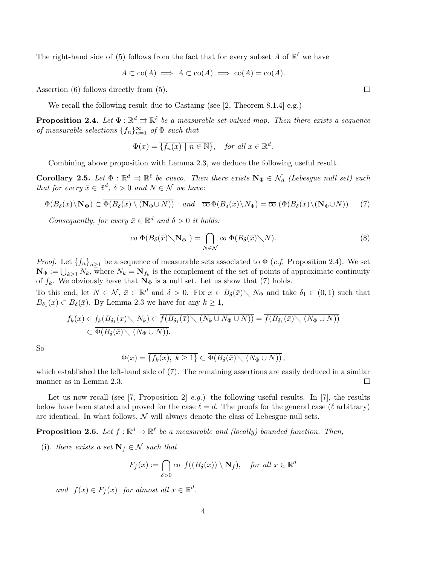The right-hand side of (5) follows from the fact that for every subset A of  $\mathbb{R}^{\ell}$  we have

$$
A \subset \text{co}(A) \implies \overline{A} \subset \overline{\text{co}}(A) \implies \overline{\text{co}}(\overline{A}) = \overline{\text{co}}(A).
$$

Assertion (6) follows directly from (5).

We recall the following result due to Castaing (see [2, Theorem 8.1.4] e.g.)

**Proposition 2.4.** Let  $\Phi : \mathbb{R}^d \rightrightarrows \mathbb{R}^\ell$  be a measurable set-valued map. Then there exists a sequence of measurable selections  $\{f_n\}_{n=1}^{\infty}$  of  $\Phi$  such that

$$
\Phi(x) = \overline{\{f_n(x) \mid n \in \mathbb{N}\}}, \quad \text{for all } x \in \mathbb{R}^d.
$$

Combining above proposition with Lemma 2.3, we deduce the following useful result.

**Corollary 2.5.** Let  $\Phi : \mathbb{R}^d \to \mathbb{R}^\ell$  be cusco. Then there exists  $\mathbf{N}_{\Phi} \in \mathcal{N}_d$  (Lebesgue null set) such that for every  $\bar{x} \in \mathbb{R}^d$ ,  $\delta > 0$  and  $N \in \mathcal{N}$  we have:

$$
\Phi(B_{\delta}(\bar{x})\setminus \mathbf{N}_{\Phi}) \subset \overline{\Phi(B_{\delta}(\bar{x})\setminus (\mathbf{N}_{\Phi}\cup N))} \quad \text{and} \quad \overline{\mathrm{co}}\,\Phi(B_{\delta}(\bar{x})\setminus N_{\Phi}) = \overline{\mathrm{co}}\,\left(\Phi(B_{\delta}(\bar{x})\setminus (\mathbf{N}_{\Phi}\cup N))\right). \tag{7}
$$

Consequently, for every  $\bar{x} \in \mathbb{R}^d$  and  $\delta > 0$  it holds:

$$
\overline{co} \ \Phi(B_{\delta}(\bar{x}) \setminus \mathbf{N}_{\Phi}) = \bigcap_{N \in \mathcal{N}} \overline{co} \ \Phi(B_{\delta}(\bar{x}) \setminus N). \tag{8}
$$

*Proof.* Let  $\{f_n\}_{n\geq 1}$  be a sequence of measurable sets associated to  $\Phi$  (*c.f.* Proposition 2.4). We set  $\mathbf{N}_{\Phi} := \bigcup_{k \geq 1} N_k$ , where  $N_k = \mathbf{N}_{f_k}$  is the complement of the set of points of approximate continuity of  $f_k$ . We obviously have that  $\mathbf{N}_{\Phi}$  is a null set. Let us show that (7) holds.

To this end, let  $N \in \mathcal{N}$ ,  $\bar{x} \in \mathbb{R}^d$  and  $\delta > 0$ . Fix  $x \in B_\delta(\bar{x}) \setminus N_\Phi$  and take  $\delta_1 \in (0,1)$  such that  $B_{\delta_1}(x) \subset B_{\delta}(\bar{x})$ . By Lemma 2.3 we have for any  $k \geq 1$ ,

$$
f_k(x) \in f_k(B_{\delta_1}(x) \setminus N_k) \subset \overline{f(B_{\delta_1}(\bar{x}) \setminus (N_k \cup N_{\Phi} \cup N))} = \overline{f(B_{\delta_1}(\bar{x}) \setminus (N_{\Phi} \cup N))}
$$
  

$$
\subset \overline{\Phi(B_{\delta}(\bar{x}) \setminus (N_{\Phi} \cup N))}.
$$

So

$$
\Phi(x) = \overline{\{f_k(x), k \ge 1\}} \subset \overline{\Phi(B_\delta(\bar{x}) \setminus (N_{\Phi} \cup N))},
$$

which established the left-hand side of (7). The remaining assertions are easily deduced in a similar manner as in Lemma 2.3.  $\Box$ 

Let us now recall (see [7, Proposition 2] *e.g.*) the following useful results. In [7], the results below have been stated and proved for the case  $\ell = d$ . The proofs for the general case ( $\ell$  arbitrary) are identical. In what follows,  $\mathcal N$  will always denote the class of Lebesgue null sets.

**Proposition 2.6.** Let  $f : \mathbb{R}^d \to \mathbb{R}^\ell$  be a measurable and (locally) bounded function. Then,

(i). there exists a set  $\mathbf{N}_f \in \mathcal{N}$  such that

$$
F_f(x) := \bigcap_{\delta > 0} \overline{co} \ f((B_\delta(x)) \setminus \mathbf{N}_f), \quad \text{for all } x \in \mathbb{R}^d
$$

and  $f(x) \in F_f(x)$  for almost all  $x \in \mathbb{R}^d$ .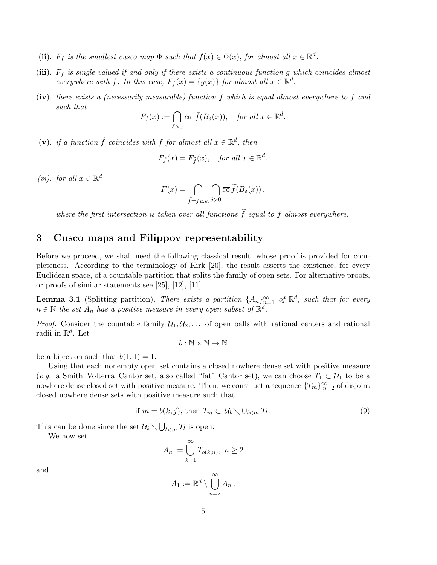- (ii).  $F_f$  is the smallest cusco map  $\Phi$  such that  $f(x) \in \Phi(x)$ , for almost all  $x \in \mathbb{R}^d$ .
- (iii).  $F_f$  is single-valued if and only if there exists a continuous function g which coincides almost everywhere with f. In this case,  $F_f(x) = \{g(x)\}\$  for almost all  $x \in \mathbb{R}^d$ .
- (iv). there exists a (necessarily measurable) function  $\bar{f}$  which is equal almost everywhere to f and such that

$$
F_f(x) := \bigcap_{\delta > 0} \overline{co} \ \bar{f}(B_\delta(x)), \quad \text{for all } x \in \mathbb{R}^d.
$$

(v). if a function  $\tilde{f}$  coincides with f for almost all  $x \in \mathbb{R}^d$ , then

$$
F_f(x) = F_{\tilde{f}}(x)
$$
, for all  $x \in \mathbb{R}^d$ .

(*vi*). for all  $x \in \mathbb{R}^d$ 

$$
F(x) = \bigcap_{\widetilde{f}=fa.e.} \bigcap_{\delta>0} \overline{\mathrm{co}} \,\widetilde{f}(B_{\delta}(x)),
$$

where the first intersection is taken over all functions  $\tilde{f}$  equal to f almost everywhere.

## 3 Cusco maps and Filippov representability

Before we proceed, we shall need the following classical result, whose proof is provided for completeness. According to the terminology of Kirk [20], the result asserts the existence, for every Euclidean space, of a countable partition that splits the family of open sets. For alternative proofs, or proofs of similar statements see [25], [12], [11].

**Lemma 3.1** (Splitting partition). There exists a partition  $\{A_n\}_{n=1}^{\infty}$  of  $\mathbb{R}^d$ , such that for every  $n \in \mathbb{N}$  the set  $A_n$  has a positive measure in every open subset of  $\mathbb{R}^d$ .

*Proof.* Consider the countable family  $\mathcal{U}_1, \mathcal{U}_2, \ldots$  of open balls with rational centers and rational radii in  $\mathbb{R}^d$ . Let

$$
b:\mathbb{N}\times\mathbb{N}\to\mathbb{N}
$$

be a bijection such that  $b(1, 1) = 1$ .

Using that each nonempty open set contains a closed nowhere dense set with positive measure (e.g. a Smith–Volterra–Cantor set, also called "fat" Cantor set), we can choose  $T_1 \subset \mathcal{U}_1$  to be a nowhere dense closed set with positive measure. Then, we construct a sequence  $\{T_m\}_{m=2}^{\infty}$  of disjoint closed nowhere dense sets with positive measure such that

if 
$$
m = b(k, j)
$$
, then  $T_m \subset \mathcal{U}_k \setminus \cup_{l < m} T_l$ . (9)

This can be done since the set  $\mathcal{U}_k \setminus \bigcup_{l \leq m} T_l$  is open.

We now set

## $A_n := \bigcup_{n=1}^{\infty}$  $_{k=1}$  $T_{b(k,n)},\;n\geq 2$

and

$$
A_1 := \mathbb{R}^d \setminus \bigcup_{n=2}^{\infty} A_n.
$$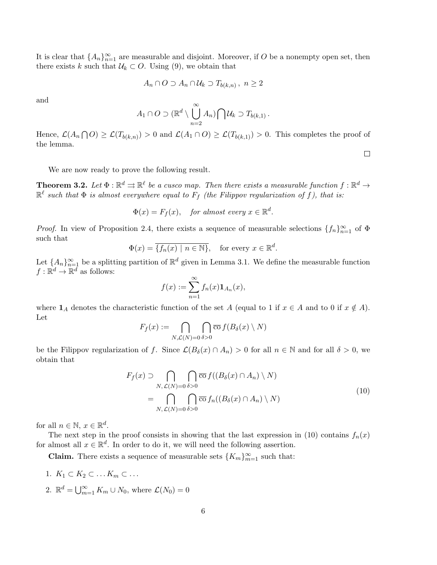It is clear that  $\{A_n\}_{n=1}^{\infty}$  are measurable and disjoint. Moreover, if O be a nonempty open set, then there exists k such that  $\mathcal{U}_k \subset O$ . Using (9), we obtain that

$$
A_n \cap O \supset A_n \cap U_k \supset T_{b(k,n)}, n \ge 2
$$

and

$$
A_1 \cap O \supset (\mathbb{R}^d \setminus \bigcup_{n=2}^{\infty} A_n) \bigcap \mathcal{U}_k \supset T_{b(k,1)}.
$$

Hence,  $\mathcal{L}(A_n \cap O) \geq \mathcal{L}(T_{b(k,n)}) > 0$  and  $\mathcal{L}(A_1 \cap O) \geq \mathcal{L}(T_{b(k,1)}) > 0$ . This completes the proof of the lemma.

 $\Box$ 

We are now ready to prove the following result.

**Theorem 3.2.** Let  $\Phi : \mathbb{R}^d \rightrightarrows \mathbb{R}^\ell$  be a cusco map. Then there exists a measurable function  $f : \mathbb{R}^d \to$  $\mathbb{R}^{\ell}$  such that  $\Phi$  is almost everywhere equal to  $F_f$  (the Filippov regularization of f), that is:

$$
\Phi(x) = F_f(x), \quad \text{for almost every } x \in \mathbb{R}^d.
$$

*Proof.* In view of Proposition 2.4, there exists a sequence of measurable selections  $\{f_n\}_{n=1}^{\infty}$  of  $\Phi$ such that

$$
\Phi(x) = \overline{\{f_n(x) \mid n \in \mathbb{N}\}}, \quad \text{for every } x \in \mathbb{R}^d.
$$

Let  $\{A_n\}_{n=1}^{\infty}$  be a splitting partition of  $\mathbb{R}^d$  given in Lemma 3.1. We define the measurable function  $f: \mathbb{R}^d \to \mathbb{R}^d$  as follows:

$$
f(x) := \sum_{n=1}^{\infty} f_n(x) \mathbf{1}_{A_n}(x),
$$

where  $\mathbf{1}_A$  denotes the characteristic function of the set A (equal to 1 if  $x \in A$  and to 0 if  $x \notin A$ ). Let

$$
F_f(x) := \bigcap_{N,\mathcal{L}(N)=0} \bigcap_{\delta>0} \overline{\mathrm{co}} \, f(B_\delta(x) \setminus N)
$$

be the Filippov regularization of f. Since  $\mathcal{L}(B_\delta(x) \cap A_n) > 0$  for all  $n \in \mathbb{N}$  and for all  $\delta > 0$ , we obtain that

$$
F_f(x) \supset \bigcap_{N,\,\mathcal{L}(N)=0} \bigcap_{\delta>0} \overline{\mathrm{co}} \, f((B_{\delta}(x) \cap A_n) \setminus N)
$$
  
= 
$$
\bigcap_{N,\,\mathcal{L}(N)=0} \bigcap_{\delta>0} \overline{\mathrm{co}} \, f_n((B_{\delta}(x) \cap A_n) \setminus N)
$$
 (10)

for all  $n \in \mathbb{N}, x \in \mathbb{R}^d$ .

The next step in the proof consists in showing that the last expression in (10) contains  $f_n(x)$ for almost all  $x \in \mathbb{R}^d$ . In order to do it, we will need the following assertion.

**Claim.** There exists a sequence of measurable sets  $\{K_m\}_{m=1}^{\infty}$  such that:

- 1.  $K_1 \subset K_2 \subset \ldots K_m \subset \ldots$
- 2.  $\mathbb{R}^d = \bigcup_{m=1}^{\infty} K_m \cup N_0$ , where  $\mathcal{L}(N_0) = 0$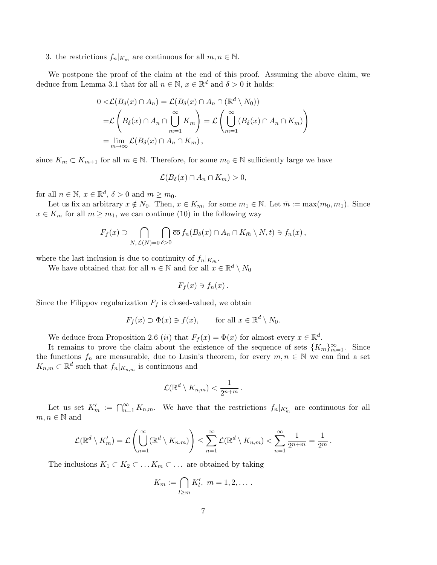3. the restrictions  $f_n|_{K_m}$  are continuous for all  $m, n \in \mathbb{N}$ .

We postpone the proof of the claim at the end of this proof. Assuming the above claim, we deduce from Lemma 3.1 that for all  $n \in \mathbb{N}$ ,  $x \in \mathbb{R}^d$  and  $\delta > 0$  it holds:

$$
0 < \mathcal{L}(B_{\delta}(x) \cap A_{n}) = \mathcal{L}(B_{\delta}(x) \cap A_{n} \cap (\mathbb{R}^{d} \setminus N_{0}))
$$
  
= 
$$
\mathcal{L}\left(B_{\delta}(x) \cap A_{n} \cap \bigcup_{m=1}^{\infty} K_{m}\right) = \mathcal{L}\left(\bigcup_{m=1}^{\infty} (B_{\delta}(x) \cap A_{n} \cap K_{m})\right)
$$
  
= 
$$
\lim_{m \to \infty} \mathcal{L}(B_{\delta}(x) \cap A_{n} \cap K_{m}),
$$

since  $K_m \subset K_{m+1}$  for all  $m \in \mathbb{N}$ . Therefore, for some  $m_0 \in \mathbb{N}$  sufficiently large we have

$$
\mathcal{L}(B_{\delta}(x) \cap A_n \cap K_m) > 0,
$$

for all  $n \in \mathbb{N}$ ,  $x \in \mathbb{R}^d$ ,  $\delta > 0$  and  $m \ge m_0$ .

Let us fix an arbitrary  $x \notin N_0$ . Then,  $x \in K_{m_1}$  for some  $m_1 \in \mathbb{N}$ . Let  $\bar{m} := \max(m_0, m_1)$ . Since  $x \in K_m$  for all  $m \geq m_1$ , we can continue (10) in the following way

$$
F_f(x) \supset \bigcap_{N,\mathcal{L}(N)=0} \bigcap_{\delta>0} \overline{\mathrm{co}} \, f_n(B_\delta(x) \cap A_n \cap K_{\bar{m}} \setminus N, t) \ni f_n(x) \, ,
$$

where the last inclusion is due to continuity of  $f_n|_{K_{\bar{m}}}.$ 

We have obtained that for all  $n \in \mathbb{N}$  and for all  $x \in \mathbb{R}^d \setminus N_0$ 

$$
F_f(x) \ni f_n(x) \, .
$$

Since the Filippov regularization  $F_f$  is closed-valued, we obtain

$$
F_f(x) \supset \Phi(x) \ni f(x)
$$
, for all  $x \in \mathbb{R}^d \setminus N_0$ .

We deduce from Proposition 2.6 (*ii*) that  $F_f(x) = \Phi(x)$  for almost every  $x \in \mathbb{R}^d$ .

It remains to prove the claim about the existence of the sequence of sets  $\{K_m\}_{m=1}^{\infty}$ . Since the functions  $f_n$  are measurable, due to Lusin's theorem, for every  $m, n \in \mathbb{N}$  we can find a set  $K_{n,m} \subset \mathbb{R}^d$  such that  $f_n|_{K_{n,m}}$  is continuous and

$$
\mathcal{L}(\mathbb{R}^d\setminus K_{n,m})<\frac{1}{2^{n+m}}.
$$

Let us set  $K'_m := \bigcap_{n=1}^{\infty} K_{n,m}$ . We have that the restrictions  $f_n|_{K'_m}$  are continuous for all  $m, n \in \mathbb{N}$  and

$$
\mathcal{L}(\mathbb{R}^d\setminus K'_m)=\mathcal{L}\left(\bigcup_{n=1}^{\infty}(\mathbb{R}^d\setminus K_{n,m})\right)\leq \sum_{n=1}^{\infty}\mathcal{L}(\mathbb{R}^d\setminus K_{n,m})<\sum_{n=1}^{\infty}\frac{1}{2^{n+m}}=\frac{1}{2^m}.
$$

The inclusions  $K_1 \subset K_2 \subset \ldots K_m \subset \ldots$  are obtained by taking

$$
K_m := \bigcap_{l \geq m} K'_l, \ m = 1, 2, \dots.
$$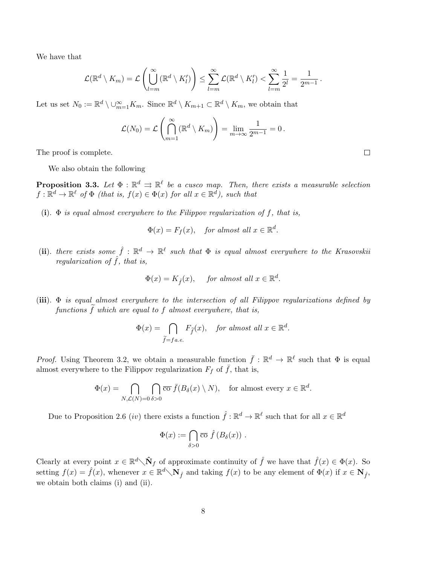We have that

$$
\mathcal{L}(\mathbb{R}^d \setminus K_m) = \mathcal{L}\left(\bigcup_{l=m}^{\infty} (\mathbb{R}^d \setminus K_l')\right) \leq \sum_{l=m}^{\infty} \mathcal{L}(\mathbb{R}^d \setminus K_l') < \sum_{l=m}^{\infty} \frac{1}{2^l} = \frac{1}{2^{m-1}}.
$$

Let us set  $N_0 := \mathbb{R}^d \setminus \bigcup_{m=1}^{\infty} K_m$ . Since  $\mathbb{R}^d \setminus K_{m+1} \subset \mathbb{R}^d \setminus K_m$ , we obtain that

$$
\mathcal{L}(N_0) = \mathcal{L}\left(\bigcap_{m=1}^{\infty} (\mathbb{R}^d \setminus K_m)\right) = \lim_{m \to \infty} \frac{1}{2^{m-1}} = 0.
$$

The proof is complete.

We also obtain the following

**Proposition 3.3.** Let  $\Phi : \mathbb{R}^d \rightrightarrows \mathbb{R}^\ell$  be a cusco map. Then, there exists a measurable selection  $f: \mathbb{R}^d \to \mathbb{R}^\ell$  of  $\Phi$  (that is,  $f(x) \in \Phi(x)$  for all  $x \in \mathbb{R}^d$ ), such that

(i).  $\Phi$  is equal almost everywhere to the Filippov regularization of f, that is,

 $\Phi(x) = F_f(x)$ , for almost all  $x \in \mathbb{R}^d$ .

(ii). there exists some  $\hat{f} : \mathbb{R}^d \to \mathbb{R}^\ell$  such that  $\Phi$  is equal almost everywhere to the Krasovskii regularization of  $\hat{f}$ , that is,

$$
\Phi(x) = K_{\hat{f}}(x), \quad \text{ for almost all } x \in \mathbb{R}^d.
$$

(iii).  $\Phi$  is equal almost everywhere to the intersection of all Filippov regularizations defined by functions  $\hat{f}$  which are equal to  $\hat{f}$  almost everywhere, that is,

$$
\Phi(x) = \bigcap_{\widetilde{f} = fa.e.} F_{\widetilde{f}}(x), \quad \text{for almost all } x \in \mathbb{R}^d.
$$

*Proof.* Using Theorem 3.2, we obtain a measurable function  $\bar{f}: \mathbb{R}^d \to \mathbb{R}^\ell$  such that  $\Phi$  is equal almost everywhere to the Filippov regularization  $F_f$  of  $\bar{f}$ , that is,

$$
\Phi(x) = \bigcap_{N,\mathcal{L}(N)=0} \bigcap_{\delta>0} \overline{\text{co }} \overline{f}(B_{\delta}(x) \setminus N), \text{ for almost every } x \in \mathbb{R}^d.
$$

Due to Proposition 2.6 *(iv)* there exists a function  $\hat{f} : \mathbb{R}^d \to \mathbb{R}^\ell$  such that for all  $x \in \mathbb{R}^d$ 

$$
\Phi(x) := \bigcap_{\delta > 0} \overline{\mathrm{co}} \, \hat{f}(B_{\delta}(x)) \ .
$$

Clearly at every point  $x \in \mathbb{R}^d \setminus \mathbf{\hat{N}}_f$  of approximate continuity of  $\hat{f}$  we have that  $\hat{f}(x) \in \Phi(x)$ . So setting  $f(x) = \hat{f}(x)$ , whenever  $x \in \mathbb{R}^d \setminus \mathbb{N}_{\hat{f}}$  and taking  $f(x)$  to be any element of  $\Phi(x)$  if  $x \in \mathbb{N}_{\hat{f}}$ , we obtain both claims (i) and (ii).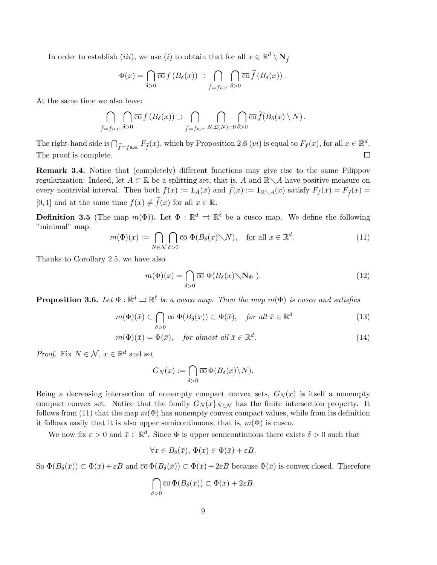In order to establish  $(iii)$ , we use  $(i)$  to obtain that for all  $x \in \mathbb{R}^d \setminus \mathbb{N}_{\hat{f}}$ 

$$
\Phi(x) = \bigcap_{\delta > 0} \overline{\mathrm{co}} \, f \left( B_{\delta}(x) \right) \supset \bigcap_{\widetilde{f} = f \text{a.e.}} \bigcap_{\delta > 0} \overline{\mathrm{co}} \, \widetilde{f} \left( B_{\delta}(x) \right) \, .
$$

At the same time we also have:

$$
\bigcap_{\widetilde{f}=f\text{a.e.}}\bigcap_{\delta>0}\overline{\mathrm{co}}\,f(B_{\delta}(x))\supset \bigcap_{\widetilde{f}=f\text{a.e.}}\bigcap_{N,\mathcal{L}(N)=0}\bigcap_{\delta>0}\overline{\mathrm{co}}\,\widetilde{f}(B_{\delta}(x)\setminus N).
$$

The right-hand side is  $\bigcap_{\widetilde{f}=f\text{a.e.}} F_{\widetilde{f}}(x)$ , which by Proposition 2.6  $(vi)$  is equal to  $F_f(x)$ , for all  $x \in \mathbb{R}^d$ . The proof is complete.

Remark 3.4. Notice that (completely) different functions may give rise to the same Filippov regularization: Indeed, let  $A \subset \mathbb{R}$  be a splitting set, that is, A and  $\mathbb{R} \setminus A$  have positive measure on every nontrivial interval. Then both  $f(x) := \mathbf{1}_A(x)$  and  $\tilde{f}(x) := \mathbf{1}_{\mathbb{R}\setminus A}(x)$  satisfy  $F_f(x) = F_{\tilde{f}}(x)$ [0, 1] and at the same time  $f(x) \neq \tilde{f}(x)$  for all  $x \in \mathbb{R}$ .

**Definition 3.5** (The map  $m(\Phi)$ ). Let  $\Phi : \mathbb{R}^d \implies \mathbb{R}^\ell$  be a cusco map. We define the following "minimal" map:

$$
m(\Phi)(x) := \bigcap_{N \in \mathcal{N}} \bigcap_{\delta > 0} \overline{\text{co}} \ \Phi(B_{\delta}(x) \setminus N), \quad \text{for all } x \in \mathbb{R}^d. \tag{11}
$$

Thanks to Corollary 2.5, we have also

$$
m(\Phi)(x) = \bigcap_{\delta > 0} \overline{\text{co}} \ \Phi(B_{\delta}(x) \diagdown \mathbf{N}_{\Phi} \ ). \tag{12}
$$

**Proposition 3.6.** Let  $\Phi : \mathbb{R}^d \rightrightarrows \mathbb{R}^\ell$  be a cusco map. Then the map  $m(\Phi)$  is cusco and satisfies

$$
m(\Phi)(\bar{x}) \subset \bigcap_{\delta > 0} \overline{co} \ \Phi(B_{\delta}(x)) \subset \Phi(\bar{x}), \quad \text{for all } \bar{x} \in \mathbb{R}^d \tag{13}
$$

$$
m(\Phi)(\bar{x}) = \Phi(\bar{x}), \quad \text{for almost all } \bar{x} \in \mathbb{R}^d. \tag{14}
$$

*Proof.* Fix  $N \in \mathcal{N}$ ,  $x \in \mathbb{R}^d$  and set

$$
G_N(x) := \bigcap_{\delta > 0} \overline{\mathrm{co}} \, \Phi(B_\delta(x) \backslash N).
$$

Being a decreasing intersection of nonempty compact convex sets,  $G_N(x)$  is itself a nonempty compact convex set. Notice that the family  $G_N(x)_{N\in\mathcal{N}}$  has the finite intersection property. It follows from (11) that the map  $m(\Phi)$  has nonempty convex compact values, while from its definition it follows easily that it is also upper semicontinuous, that is,  $m(\Phi)$  is cusco.

We now fix  $\varepsilon > 0$  and  $\bar{x} \in \mathbb{R}^d$ . Since  $\Phi$  is upper semicontinuous there exists  $\delta > 0$  such that

$$
\forall x \in B_{\delta}(\bar{x}), \, \Phi(x) \in \Phi(\bar{x}) + \varepsilon B.
$$

So  $\Phi(B_\delta(\bar{x})) \subset \Phi(\bar{x}) + \varepsilon B$  and  $\overline{\text{co}} \Phi(B_\delta(\bar{x})) \subset \Phi(\bar{x}) + 2\varepsilon B$  because  $\Phi(\bar{x})$  is convex closed. Therefore

$$
\bigcap_{\delta>0}\overline{\mathrm{co}}\,\Phi(B_\delta(\bar{x}))\subset\Phi(\bar{x})+2\varepsilon B.
$$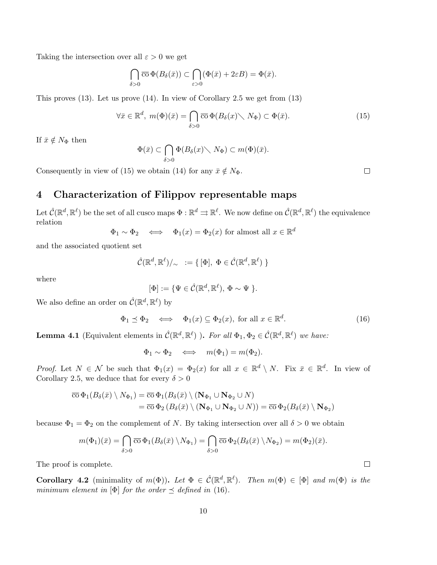Taking the intersection over all  $\varepsilon > 0$  we get

$$
\bigcap_{\delta>0}\overline{\mathrm{co}}\,\Phi(B_\delta(\bar x))\subset \bigcap_{\varepsilon>0}(\Phi(\bar x)+2\varepsilon B)=\Phi(\bar x).
$$

This proves (13). Let us prove (14). In view of Corollary 2.5 we get from (13)

$$
\forall \bar{x} \in \mathbb{R}^d, \ m(\Phi)(\bar{x}) = \bigcap_{\delta > 0} \overline{\text{co}} \ \Phi(B_{\delta}(x) \setminus N_{\Phi}) \subset \Phi(\bar{x}).\tag{15}
$$

If  $\bar{x} \notin N_{\Phi}$  then

$$
\Phi(\bar{x}) \subset \bigcap_{\delta > 0} \Phi(B_{\delta}(x) \setminus N_{\Phi}) \subset m(\Phi)(\bar{x}).
$$

Consequently in view of (15) we obtain (14) for any  $\bar{x} \notin N_{\Phi}$ .

## 4 Characterization of Filippov representable maps

Let  $\hat{\mathcal{C}}(\mathbb{R}^d,\mathbb{R}^\ell)$  be the set of all cusco maps  $\Phi : \mathbb{R}^d \rightrightarrows \mathbb{R}^\ell$ . We now define on  $\hat{\mathcal{C}}(\mathbb{R}^d,\mathbb{R}^\ell)$  the equivalence relation

$$
\Phi_1 \sim \Phi_2 \iff \Phi_1(x) = \Phi_2(x)
$$
 for almost all  $x \in \mathbb{R}^d$ 

and the associated quotient set

$$
\hat{\mathcal{C}}(\mathbb{R}^d, \mathbb{R}^\ell)/_\sim := \{ [\Phi], \ \Phi \in \hat{\mathcal{C}}(\mathbb{R}^d, \mathbb{R}^\ell) \ \}
$$

where

$$
[\Phi] := \{ \Psi \in \hat{\mathcal{C}}(\mathbb{R}^d, \mathbb{R}^\ell), \, \Phi \sim \Psi \; \}.
$$

We also define an order on  $\hat{\mathcal{C}}(\mathbb{R}^d, \mathbb{R}^\ell)$  by

$$
\Phi_1 \preceq \Phi_2 \iff \Phi_1(x) \subseteq \Phi_2(x), \text{ for all } x \in \mathbb{R}^d. \tag{16}
$$

**Lemma 4.1** (Equivalent elements in  $\hat{\mathcal{C}}(\mathbb{R}^d, \mathbb{R}^\ell)$ ). For all  $\Phi_1, \Phi_2 \in \hat{\mathcal{C}}(\mathbb{R}^d, \mathbb{R}^\ell)$  we have:

$$
\Phi_1 \sim \Phi_2 \quad \Longleftrightarrow \quad m(\Phi_1) = m(\Phi_2).
$$

*Proof.* Let  $N \in \mathcal{N}$  be such that  $\Phi_1(x) = \Phi_2(x)$  for all  $x \in \mathbb{R}^d \setminus N$ . Fix  $\bar{x} \in \mathbb{R}^d$ . In view of Corollary 2.5, we deduce that for every  $\delta > 0$ 

$$
\overline{\mathrm{co}} \,\Phi_1(B_\delta(\bar{x}) \setminus N_{\Phi_1}) = \overline{\mathrm{co}} \,\Phi_1(B_\delta(\bar{x}) \setminus (\mathbf{N}_{\Phi_1} \cup \mathbf{N}_{\Phi_2} \cup N)
$$
\n
$$
= \overline{\mathrm{co}} \,\Phi_2(B_\delta(\bar{x}) \setminus (\mathbf{N}_{\Phi_1} \cup \mathbf{N}_{\Phi_2} \cup N)) = \overline{\mathrm{co}} \,\Phi_2(B_\delta(\bar{x}) \setminus \mathbf{N}_{\Phi_2})
$$

because  $\Phi_1 = \Phi_2$  on the complement of N. By taking intersection over all  $\delta > 0$  we obtain

$$
m(\Phi_1)(\bar{x}) = \bigcap_{\delta > 0} \overline{\mathrm{co}} \, \Phi_1(B_\delta(\bar{x}) \setminus N_{\Phi_1}) = \bigcap_{\delta > 0} \overline{\mathrm{co}} \, \Phi_2(B_\delta(\bar{x}) \setminus N_{\Phi_2}) = m(\Phi_2)(\bar{x}).
$$

The proof is complete.

**Corollary 4.2** (minimality of  $m(\Phi)$ ). Let  $\Phi \in \widehat{C}(\mathbb{R}^d, \mathbb{R}^{\ell})$ . Then  $m(\Phi) \in [\Phi]$  and  $m(\Phi)$  is the minimum element in [ $\Phi$ ] for the order  $\preceq$  defined in (16).

 $\Box$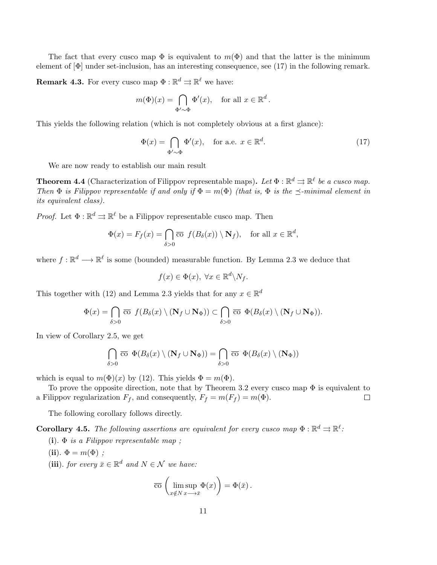The fact that every cusco map  $\Phi$  is equivalent to  $m(\Phi)$  and that the latter is the minimum element of  $[\Phi]$  under set-inclusion, has an interesting consequence, see  $(17)$  in the following remark.

**Remark 4.3.** For every cusco map  $\Phi : \mathbb{R}^d \rightrightarrows \mathbb{R}^\ell$  we have:

$$
m(\Phi)(x) = \bigcap_{\Phi' \sim \Phi} \Phi'(x), \quad \text{for all } x \in \mathbb{R}^d.
$$

This yields the following relation (which is not completely obvious at a first glance):

$$
\Phi(x) = \bigcap_{\Phi' \sim \Phi} \Phi'(x), \quad \text{for a.e. } x \in \mathbb{R}^d. \tag{17}
$$

We are now ready to establish our main result

**Theorem 4.4** (Characterization of Filippov representable maps). Let  $\Phi : \mathbb{R}^d \Rightarrow \mathbb{R}^\ell$  be a cusco map. Then  $\Phi$  is Filippov representable if and only if  $\Phi = m(\Phi)$  (that is,  $\Phi$  is the  $\preceq$ -minimal element in its equivalent class).

*Proof.* Let  $\Phi : \mathbb{R}^d \rightrightarrows \mathbb{R}^\ell$  be a Filippov representable cusco map. Then

$$
\Phi(x) = F_f(x) = \bigcap_{\delta > 0} \overline{\text{co}} \ f(B_\delta(x)) \setminus \mathbf{N}_f), \quad \text{for all } x \in \mathbb{R}^d,
$$

where  $f: \mathbb{R}^d \longrightarrow \mathbb{R}^\ell$  is some (bounded) measurable function. By Lemma 2.3 we deduce that

$$
f(x) \in \Phi(x), \ \forall x \in \mathbb{R}^d \backslash N_f.
$$

This together with (12) and Lemma 2.3 yields that for any  $x \in \mathbb{R}^d$ 

$$
\Phi(x) = \bigcap_{\delta > 0} \overline{\mathrm{co}} \ f(B_{\delta}(x) \setminus (\mathbf{N}_f \cup \mathbf{N}_\Phi)) \subset \bigcap_{\delta > 0} \overline{\mathrm{co}} \ \Phi(B_{\delta}(x) \setminus (\mathbf{N}_f \cup \mathbf{N}_\Phi)).
$$

In view of Corollary 2.5, we get

$$
\bigcap_{\delta>0}\; \overline{\mathrm{co}}\;\; \Phi(B_\delta(x)\setminus ({\mathbf{N}}_f\cup{\mathbf{N}}_\Phi))=\bigcap_{\delta>0}\; \overline{\mathrm{co}}\;\; \Phi(B_\delta(x)\setminus ({\mathbf{N}}_\Phi))
$$

which is equal to  $m(\Phi)(x)$  by (12). This yields  $\Phi = m(\Phi)$ .

To prove the opposite direction, note that by Theorem 3.2 every cusco map  $\Phi$  is equivalent to a Filippov regularization  $F_f$ , and consequently,  $F_f = m(F_f) = m(\Phi)$ .  $\Box$ 

The following corollary follows directly.

**Corollary 4.5.** The following assertions are equivalent for every cusco map  $\Phi : \mathbb{R}^d \rightrightarrows \mathbb{R}^\ell$ .

- (i).  $\Phi$  is a Filippov representable map;
- (ii).  $\Phi = m(\Phi)$ ;
- (iii). for every  $\bar{x} \in \mathbb{R}^d$  and  $N \in \mathcal{N}$  we have:

$$
\overline{\mathrm{co}}\,\left(\limsup_{x \notin N} \Phi(x)\right) = \Phi(\bar{x})\,.
$$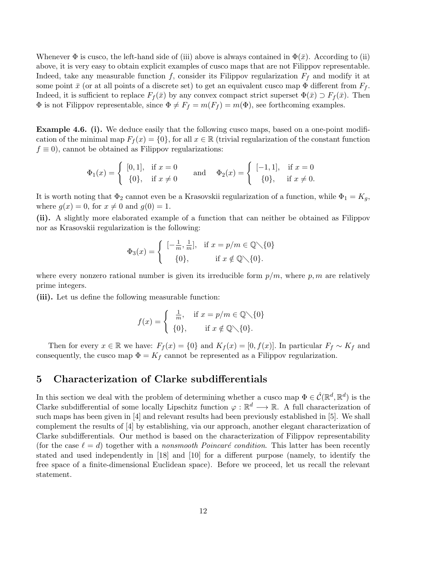Whenever  $\Phi$  is cusco, the left-hand side of (iii) above is always contained in  $\Phi(\bar{x})$ . According to (ii) above, it is very easy to obtain explicit examples of cusco maps that are not Filippov representable. Indeed, take any measurable function f, consider its Filippov regularization  $F_f$  and modify it at some point  $\bar{x}$  (or at all points of a discrete set) to get an equivalent cusco map  $\Phi$  different from  $F_f$ . Indeed, it is sufficient to replace  $F_f(\bar{x})$  by any convex compact strict superset  $\Phi(\bar{x}) \supset F_f(\bar{x})$ . Then  $\Phi$  is not Filippov representable, since  $\Phi \neq F_f = m(F_f) = m(\Phi)$ , see forthcoming examples.

**Example 4.6. (i).** We deduce easily that the following cusco maps, based on a one-point modification of the minimal map  $F_f(x) = \{0\}$ , for all  $x \in \mathbb{R}$  (trivial regularization of the constant function  $f \equiv 0$ , cannot be obtained as Filippov regularizations:

$$
\Phi_1(x) = \begin{cases} [0,1], & \text{if } x = 0 \\ \{0\}, & \text{if } x \neq 0 \end{cases} \quad \text{and} \quad \Phi_2(x) = \begin{cases} [-1,1], & \text{if } x = 0 \\ \{0\}, & \text{if } x \neq 0. \end{cases}
$$

It is worth noting that  $\Phi_2$  cannot even be a Krasovskii regularization of a function, while  $\Phi_1 = K_g$ , where  $q(x) = 0$ , for  $x \neq 0$  and  $q(0) = 1$ .

(ii). A slightly more elaborated example of a function that can neither be obtained as Filippov nor as Krasovskii regularization is the following:

$$
\Phi_3(x) = \begin{cases}\n[-\frac{1}{m}, \frac{1}{m}], & \text{if } x = p/m \in \mathbb{Q} \setminus \{0\} \\
\{0\}, & \text{if } x \notin \mathbb{Q} \setminus \{0\}.\n\end{cases}
$$

where every nonzero rational number is given its irreducible form  $p/m$ , where p, m are relatively prime integers.

(iii). Let us define the following measurable function:

$$
f(x) = \begin{cases} \frac{1}{m}, & \text{if } x = p/m \in \mathbb{Q} \setminus \{0\} \\ \{0\}, & \text{if } x \notin \mathbb{Q} \setminus \{0\}. \end{cases}
$$

Then for every  $x \in \mathbb{R}$  we have:  $F_f(x) = \{0\}$  and  $K_f(x) = [0, f(x)]$ . In particular  $F_f \sim K_f$  and consequently, the cusco map  $\Phi = K_f$  cannot be represented as a Filippov regularization.

### 5 Characterization of Clarke subdifferentials

In this section we deal with the problem of determining whether a cusco map  $\Phi \in \hat{\mathcal{C}}(\mathbb{R}^d, \mathbb{R}^d)$  is the Clarke subdifferential of some locally Lipschitz function  $\varphi : \mathbb{R}^d \longrightarrow \mathbb{R}$ . A full characterization of such maps has been given in [4] and relevant results had been previously established in [5]. We shall complement the results of [4] by establishing, via our approach, another elegant characterization of Clarke subdifferentials. Our method is based on the characterization of Filippov representability (for the case  $\ell = d$ ) together with a nonsmooth Poincaré condition. This latter has been recently stated and used independently in [18] and [10] for a different purpose (namely, to identify the free space of a finite-dimensional Euclidean space). Before we proceed, let us recall the relevant statement.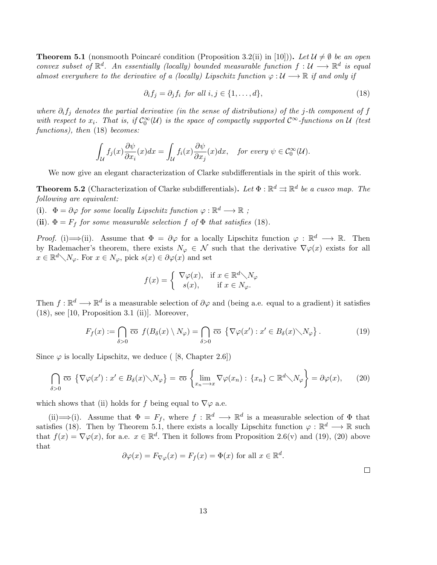**Theorem 5.1** (nonsmooth Poincaré condition (Proposition 3.2(ii) in [10])). Let  $\mathcal{U} \neq \emptyset$  be an open convex subset of  $\mathbb{R}^d$ . An essentially (locally) bounded measurable function  $f: \mathcal{U} \longrightarrow \mathbb{R}^d$  is equal almost everywhere to the derivative of a (locally) Lipschitz function  $\varphi : \mathcal{U} \longrightarrow \mathbb{R}$  if and only if

$$
\partial_i f_j = \partial_j f_i \text{ for all } i, j \in \{1, \dots, d\},\tag{18}
$$

where  $\partial_i f_j$  denotes the partial derivative (in the sense of distributions) of the j-th component of f with respect to  $x_i$ . That is, if  $\mathcal{C}_0^{\infty}(\mathcal{U})$  is the space of compactly supported  $\mathcal{C}^{\infty}$ -functions on  $\mathcal{U}$  (test functions), then (18) becomes:

$$
\int_{\mathcal{U}} f_j(x) \frac{\partial \psi}{\partial x_i}(x) dx = \int_{\mathcal{U}} f_i(x) \frac{\partial \psi}{\partial x_j}(x) dx, \text{ for every } \psi \in C_0^{\infty}(\mathcal{U}).
$$

We now give an elegant characterization of Clarke subdifferentials in the spirit of this work.

**Theorem 5.2** (Characterization of Clarke subdifferentials). Let  $\Phi : \mathbb{R}^d \rightrightarrows \mathbb{R}^d$  be a cusco map. The following are equivalent:

(i).  $\Phi = \partial \varphi$  for some locally Lipschitz function  $\varphi : \mathbb{R}^d \longrightarrow \mathbb{R}$ ;

(ii).  $\Phi = F_f$  for some measurable selection f of  $\Phi$  that satisfies (18).

*Proof.* (i)  $\implies$  (ii). Assume that  $\Phi = \partial \varphi$  for a locally Lipschitz function  $\varphi : \mathbb{R}^d \longrightarrow \mathbb{R}$ . Then by Rademacher's theorem, there exists  $N_{\varphi} \in \mathcal{N}$  such that the derivative  $\nabla \varphi(x)$  exists for all  $x \in \mathbb{R}^d \setminus N_\varphi$ . For  $x \in N_\varphi$ , pick  $s(x) \in \partial \varphi(x)$  and set

$$
f(x) = \begin{cases} \nabla \varphi(x), & \text{if } x \in \mathbb{R}^d \setminus N_\varphi \\ \ns(x), & \text{if } x \in N_\varphi. \n\end{cases}
$$

Then  $f: \mathbb{R}^d \longrightarrow \mathbb{R}^d$  is a measurable selection of  $\partial \varphi$  and (being a.e. equal to a gradient) it satisfies  $(18)$ , see [10, Proposition 3.1 (ii)]. Moreover,

$$
F_f(x) := \bigcap_{\delta > 0} \overline{\text{co}} \ f(B_\delta(x) \setminus N_\varphi) = \bigcap_{\delta > 0} \overline{\text{co}} \ \{\nabla \varphi(x') : x' \in B_\delta(x) \setminus N_\varphi\} \,. \tag{19}
$$

Since  $\varphi$  is locally Lipschitz, we deduce ( [8, Chapter 2.6])

$$
\bigcap_{\delta>0} \overline{\mathrm{co}} \, \left\{ \nabla \varphi(x') : x' \in B_{\delta}(x) \diagdown N_{\varphi} \right\} = \overline{\mathrm{co}} \, \left\{ \lim_{x_n \longrightarrow x} \nabla \varphi(x_n) : \{x_n\} \subset \mathbb{R}^d \diagdown N_{\varphi} \right\} = \partial \varphi(x), \tag{20}
$$

which shows that (ii) holds for f being equal to  $\nabla\varphi$  a.e.

(ii)  $\implies$  (i). Assume that  $\Phi = F_f$ , where  $f : \mathbb{R}^d \longrightarrow \mathbb{R}^d$  is a measurable selection of  $\Phi$  that satisfies (18). Then by Theorem 5.1, there exists a locally Lipschitz function  $\varphi : \mathbb{R}^d \longrightarrow \mathbb{R}$  such that  $f(x) = \nabla \varphi(x)$ , for a.e.  $x \in \mathbb{R}^d$ . Then it follows from Proposition 2.6(v) and (19), (20) above that

$$
\partial \varphi(x) = F_{\nabla \varphi}(x) = F_f(x) = \Phi(x) \text{ for all } x \in \mathbb{R}^d.
$$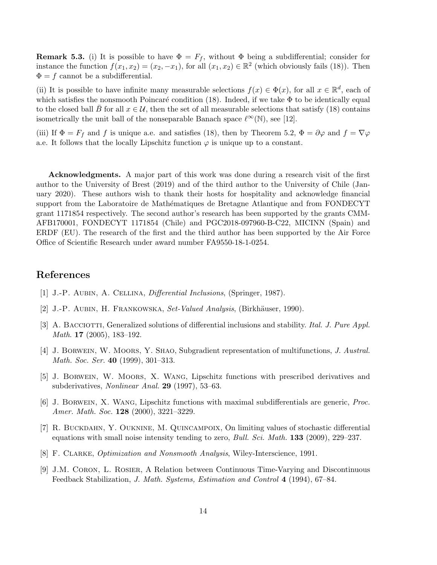**Remark 5.3.** (i) It is possible to have  $\Phi = F_f$ , without  $\Phi$  being a subdifferential; consider for instance the function  $f(x_1, x_2) = (x_2, -x_1)$ , for all  $(x_1, x_2) \in \mathbb{R}^2$  (which obviously fails (18)). Then  $\Phi = f$  cannot be a subdifferential.

(ii) It is possible to have infinite many measurable selections  $f(x) \in \Phi(x)$ , for all  $x \in \mathbb{R}^d$ , each of which satisfies the nonsmooth Poincaré condition (18). Indeed, if we take  $\Phi$  to be identically equal to the closed ball B for all  $x \in \mathcal{U}$ , then the set of all measurable selections that satisfy (18) contains isometrically the unit ball of the nonseparable Banach space  $\ell^{\infty}(\mathbb{N})$ , see [12].

(iii) If  $\Phi = F_f$  and f is unique a.e. and satisfies (18), then by Theorem 5.2,  $\Phi = \partial \varphi$  and  $f = \nabla \varphi$ a.e. It follows that the locally Lipschitz function  $\varphi$  is unique up to a constant.

Acknowledgments. A major part of this work was done during a research visit of the first author to the University of Brest (2019) and of the third author to the University of Chile (January 2020). These authors wish to thank their hosts for hospitality and acknowledge financial support from the Laboratoire de Mathématiques de Bretagne Atlantique and from FONDECYT grant 1171854 respectively. The second author's research has been supported by the grants CMM-AFB170001, FONDECYT 1171854 (Chile) and PGC2018-097960-B-C22, MICINN (Spain) and ERDF (EU). The research of the first and the third author has been supported by the Air Force Office of Scientific Research under award number FA9550-18-1-0254.

## References

- [1] J.-P. Aubin, A. Cellina, Differential Inclusions, (Springer, 1987).
- [2] J.-P. AUBIN, H. FRANKOWSKA, Set-Valued Analysis, (Birkhäuser, 1990).
- [3] A. BACCIOTTI, Generalized solutions of differential inclusions and stability. Ital. J. Pure Appl. Math. 17 (2005), 183–192.
- [4] J. Borwein, W. Moors, Y. Shao, Subgradient representation of multifunctions, J. Austral. Math. Soc. Ser. 40 (1999), 301–313.
- [5] J. Borwein, W. Moors, X. Wang, Lipschitz functions with prescribed derivatives and subderivatives, Nonlinear Anal. 29 (1997), 53–63.
- [6] J. Borwein, X. Wang, Lipschitz functions with maximal subdifferentials are generic, Proc. Amer. Math. Soc. 128 (2000), 3221-3229.
- [7] R. BUCKDAHN, Y. OUKNINE, M. QUINCAMPOIX, On limiting values of stochastic differential equations with small noise intensity tending to zero, *Bull. Sci. Math.* **133** (2009), 229–237.
- [8] F. CLARKE, *Optimization and Nonsmooth Analysis*, Wiley-Interscience, 1991.
- [9] J.M. Coron, L. Rosier, A Relation between Continuous Time-Varying and Discontinuous Feedback Stabilization, J. Math. Systems, Estimation and Control 4 (1994), 67–84.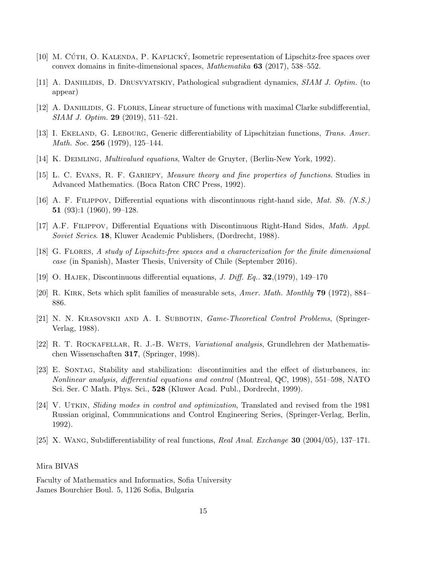- [10] M. CÚTH, O. KALENDA, P. KAPLICKÝ, Isometric representation of Lipschitz-free spaces over convex domains in finite-dimensional spaces, Mathematika 63 (2017), 538–552.
- [11] A. DANIILIDIS, D. DRUSVYATSKIY, Pathological subgradient dynamics, SIAM J. Optim. (to appear)
- [12] A. DANIILIDIS, G. FLORES, Linear structure of functions with maximal Clarke subdifferential, SIAM J. Optim. 29 (2019), 511–521.
- [13] I. EKELAND, G. LEBOURG, Generic differentiability of Lipschitzian functions, *Trans. Amer.* Math. Soc. **256** (1979), 125–144.
- [14] K. Deimling, Multivalued equations, Walter de Gruyter, (Berlin-New York, 1992).
- [15] L. C. Evans, R. F. Gariepy, Measure theory and fine properties of functions. Studies in Advanced Mathematics. (Boca Raton CRC Press, 1992).
- [16] A. F. Filippov, Differential equations with discontinuous right-hand side, Mat. Sb. (N.S.) 51 (93):1 (1960), 99–128.
- [17] A.F. Filippov, Differential Equations with Discontinuous Right-Hand Sides, Math. Appl. Soviet Series. 18, Kluwer Academic Publishers, (Dordrecht, 1988).
- [18] G. Flores, A study of Lipschitz-free spaces and a characterization for the finite dimensional case (in Spanish), Master Thesis, University of Chile (September 2016).
- [19] O. HAJEK, Discontinuous differential equations, J. Diff. Eq.  $32,(1979), 149-170$
- [20] R. Kirk, Sets which split families of measurable sets, Amer. Math. Monthly 79 (1972), 884– 886.
- [21] N. N. KRASOVSKII AND A. I. SUBBOTIN, *Game-Theoretical Control Problems*, *(Springer-*Verlag, 1988).
- [22] R. T. ROCKAFELLAR, R. J.-B. WETS, Variational analysis, Grundlehren der Mathematischen Wissenschaften 317, (Springer, 1998).
- [23] E. Sontag, Stability and stabilization: discontinuities and the effect of disturbances, in: Nonlinear analysis, differential equations and control (Montreal, QC, 1998), 551–598, NATO Sci. Ser. C Math. Phys. Sci., 528 (Kluwer Acad. Publ., Dordrecht, 1999).
- [24] V. UTKIN, Sliding modes in control and optimization, Translated and revised from the 1981 Russian original, Communications and Control Engineering Series, (Springer-Verlag, Berlin, 1992).
- [25] X. WANG, Subdifferentiability of real functions, Real Anal. Exchange  $30$  (2004/05), 137–171.

#### Mira BIVAS

Faculty of Mathematics and Informatics, Sofia University James Bourchier Boul. 5, 1126 Sofia, Bulgaria